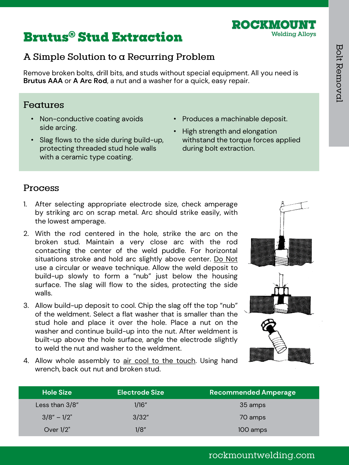# **Brutus<sup>®</sup> Stud Extraction**

### A Simple Solution to a Recurring Problem

Remove broken bolts, drill bits, and studs without special equipment. All you need is **Brutus AAA** or **A Arc Rod**, a nut and a washer for a quick, easy repair.

#### Features

- Non-conductive coating avoids side arcing.
- Slag flows to the side during build-up, protecting threaded stud hole walls with a ceramic type coating.
- Produces a machinable deposit.
- High strength and elongation withstand the torque forces applied during bolt extraction.

ROCKWOU

**Welding Alloys** 

#### **Process**

- 1. After selecting appropriate electrode size, check amperage by striking arc on scrap metal. Arc should strike easily, with the lowest amperage.
- 2. With the rod centered in the hole, strike the arc on the broken stud. Maintain a very close arc with the rod contacting the center of the weld puddle. For horizontal situations stroke and hold arc slightly above center. Do Not use a circular or weave technique. Allow the weld deposit to build-up slowly to form a "nub" just below the housing surface. The slag will flow to the sides, protecting the side walls.
- 3. Allow build-up deposit to cool. Chip the slag off the top "nub" of the weldment. Select a flat washer that is smaller than the stud hole and place it over the hole. Place a nut on the washer and continue build-up into the nut. After weldment is built-up above the hole surface, angle the electrode slightly to weld the nut and washer to the weldment.
- 4. Allow whole assembly to air cool to the touch. Using hand wrench, back out nut and broken stud.

| <b>Hole Size</b> | <b>Electrode Size</b> | <b>Recommended Amperage</b> |
|------------------|-----------------------|-----------------------------|
| Less than 3/8"   | 1/16"                 | 35 amps                     |
| $3/8" - 1/2"$    | 3/32"                 | 70 amps                     |
| Over 1/2"        | 1/8"                  | 100 amps                    |

#### rockmountwelding.com





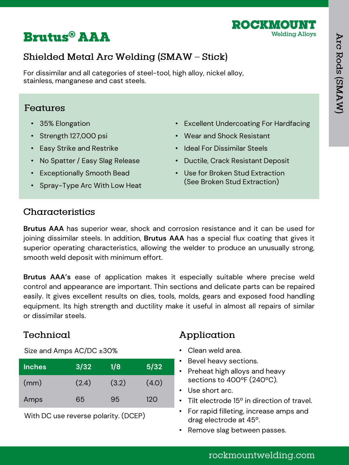

# **Brutus® AAA**

# Shielded Metal Arc Welding (SMAW - Stick)

For dissimilar and all categories of steel-tool, high alloy, nickel alloy, stainless, manganese and cast steels.

#### Features

- 35% Elongation
- Strength 127,000 psi
- Easy Strike and Restrike
- No Spatter / Easy Slag Release
- Exceptionally Smooth Bead
- Spray-Type Arc With Low Heat
- Excellent Undercoating For Hardfacing
- Wear and Shock Resistant
- Ideal For Dissimilar Steels
- Ductile, Crack Resistant Deposit
- Use for Broken Stud Extraction (See Broken Stud Extraction)

#### Characteristics

**Brutus AAA** has superior wear, shock and corrosion resistance and it can be used for joining dissimilar steels. In addition, **Brutus AAA** has a special flux coating that gives it superior operating characteristics, allowing the welder to produce an unusually strong, smooth weld deposit with minimum effort.

**Brutus AAA's** ease of application makes it especially suitable where precise weld control and appearance are important. Thin sections and delicate parts can be repaired easily. It gives excellent results on dies, tools, molds, gears and exposed food handling equipment. Its high strength and ductility make it useful in almost all repairs of similar or dissimilar steels.

## Technical

Size and Amps AC/DC ±30%

| Inches | 3/32  | 1/8   | 5/32            |
|--------|-------|-------|-----------------|
| (mm)   | (2.4) | (3.2) | (4.0)           |
| Amps   | 65    | 95    | 12 <sub>O</sub> |

With DC use reverse polarity. (DCEP)

# Application

- Clean weld area.
- Bevel heavy sections.
- Preheat high alloys and heavy sections to 400°F (240°C).
- Use short arc.
- Tilt electrode 15º in direction of travel.
- For rapid filleting, increase amps and drag electrode at 45º.
- Remove slag between passes.

# rockmountwelding.com